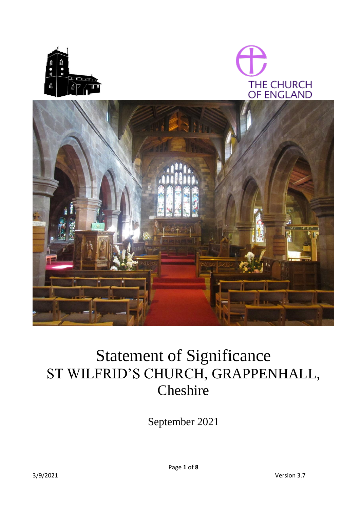





# Statement of Significance ST WILFRID'S CHURCH, GRAPPENHALL, Cheshire

September 2021

Page **1** of **8**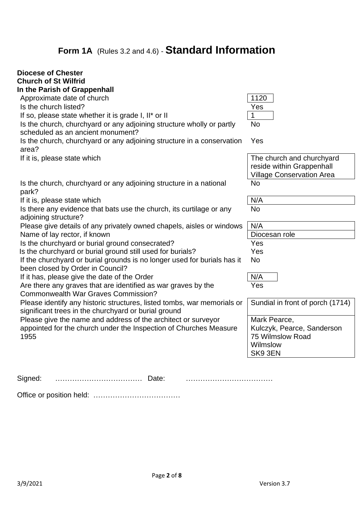# **Form 1A** (Rules 3.2 and 4.6) - **Standard Information**

| <b>Diocese of Chester</b><br><b>Church of St Wilfrid</b><br>In the Parish of Grappenhall                     |                                  |
|--------------------------------------------------------------------------------------------------------------|----------------------------------|
| Approximate date of church                                                                                   | 1120                             |
| Is the church listed?                                                                                        | Yes                              |
| If so, please state whether it is grade I, II* or II                                                         | 1                                |
| Is the church, churchyard or any adjoining structure wholly or partly                                        | <b>No</b>                        |
| scheduled as an ancient monument?                                                                            |                                  |
| Is the church, churchyard or any adjoining structure in a conservation                                       | Yes                              |
| area?                                                                                                        |                                  |
| If it is, please state which                                                                                 | The church and churchyard        |
|                                                                                                              | reside within Grappenhall        |
|                                                                                                              | <b>Village Conservation Area</b> |
| Is the church, churchyard or any adjoining structure in a national                                           | <b>No</b>                        |
| park?                                                                                                        |                                  |
| If it is, please state which                                                                                 | N/A                              |
| Is there any evidence that bats use the church, its curtilage or any                                         | No                               |
| adjoining structure?                                                                                         |                                  |
| Please give details of any privately owned chapels, aisles or windows                                        | N/A                              |
| Name of lay rector, if known                                                                                 | Diocesan role                    |
|                                                                                                              |                                  |
| Is the churchyard or burial ground consecrated?                                                              | Yes                              |
| Is the churchyard or burial ground still used for burials?                                                   | Yes                              |
| If the churchyard or burial grounds is no longer used for burials has it<br>been closed by Order in Council? | <b>No</b>                        |
| If it has, please give the date of the Order                                                                 | N/A                              |
| Are there any graves that are identified as war graves by the                                                | Yes                              |
| <b>Commonwealth War Graves Commission?</b>                                                                   |                                  |
| Please identify any historic structures, listed tombs, war memorials or                                      | Sundial in front of porch (1714) |
| significant trees in the churchyard or burial ground                                                         |                                  |
| Please give the name and address of the architect or surveyor                                                | Mark Pearce,                     |
| appointed for the church under the Inspection of Churches Measure                                            | Kulczyk, Pearce, Sanderson       |
| 1955                                                                                                         | 75 Wilmslow Road                 |
|                                                                                                              | Wilmslow                         |
|                                                                                                              | SK9 3EN                          |
|                                                                                                              |                                  |
|                                                                                                              |                                  |
| Signed:<br>Date:                                                                                             |                                  |

Office or position held: ………………………………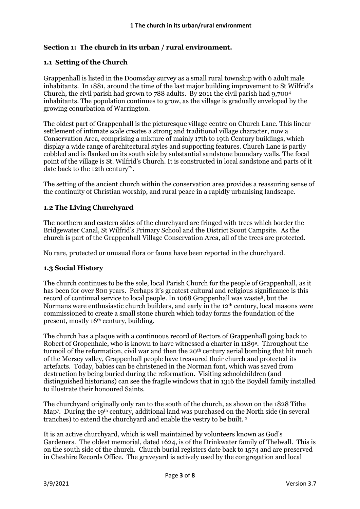#### **Section 1: The church in its urban / rural environment.**

#### **1.1 Setting of the Church**

Grappenhall is listed in the Doomsday survey as a small rural township with 6 adult male inhabitants. In 1881, around the time of the last major building improvement to St Wilfrid's Church, the civil parish had grown to  $788$  adults. By 2011 the civil parish had  $9.700<sup>4</sup>$ inhabitants. The population continues to grow, as the village is gradually enveloped by the growing conurbation of Warrington.

The oldest part of Grappenhall is the picturesque village centre on Church Lane. This linear settlement of intimate scale creates a strong and traditional village character, now a Conservation Area, comprising a mixture of mainly 17th to 19th Century buildings, which display a wide range of architectural styles and supporting features. Church Lane is partly cobbled and is flanked on its south side by substantial sandstone boundary walls. The focal point of the village is St. Wilfrid's Church. It is constructed in local sandstone and parts of it date back to the 12th century" 1 .

The setting of the ancient church within the conservation area provides a reassuring sense of the continuity of Christian worship, and rural peace in a rapidly urbanising landscape.

#### **1.2 The Living Churchyard**

The northern and eastern sides of the churchyard are fringed with trees which border the Bridgewater Canal, St Wilfrid's Primary School and the District Scout Campsite. As the church is part of the Grappenhall Village Conservation Area, all of the trees are protected.

No rare, protected or unusual flora or fauna have been reported in the churchyard.

#### **1.3 Social History**

The church continues to be the sole, local Parish Church for the people of Grappenhall, as it has been for over 800 years. Perhaps it's greatest cultural and religious significance is this record of continual service to local people. In 1068 Grappenhall was waste<sup>8</sup>, but the Normans were enthusiastic church builders, and early in the 12<sup>th</sup> century, local masons were commissioned to create a small stone church which today forms the foundation of the present, mostly 16th century, building.

The church has a plaque with a continuous record of Rectors of Grappenhall going back to Robert of Gropenhale, who is known to have witnessed a charter in 1189<sup>9</sup> . Throughout the turmoil of the reformation, civil war and then the 20<sup>th</sup> century aerial bombing that hit much of the Mersey valley, Grappenhall people have treasured their church and protected its artefacts. Today, babies can be christened in the Norman font, which was saved from destruction by being buried during the reformation. Visiting schoolchildren (and distinguished historians) can see the fragile windows that in 1316 the Boydell family installed to illustrate their honoured Saints.

The churchyard originally only ran to the south of the church, as shown on the 1828 Tithe Map<sup>7</sup>. During the 19<sup>th</sup> century, additional land was purchased on the North side (in several tranches) to extend the churchyard and enable the vestry to be built. <sup>2</sup>

It is an active churchyard, which is well maintained by volunteers known as God's Gardeners. The oldest memorial, dated 1624, is of the Drinkwater family of Thelwall. This is on the south side of the church. Church burial registers date back to 1574 and are preserved in Cheshire Records Office. The graveyard is actively used by the congregation and local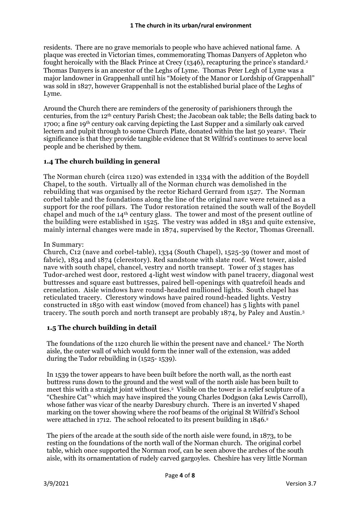residents. There are no grave memorials to people who have achieved national fame. A plaque was erected in Victorian times, commemorating Thomas Danyers of Appleton who fought heroically with the Black Prince at Crecy (1346), recapturing the prince's standard.<sup>2</sup> Thomas Danyers is an ancestor of the Leghs of Lyme. Thomas Peter Legh of Lyme was a major landowner in Grappenhall until his "Moiety of the Manor or Lordship of Grappenhall" was sold in 1827, however Grappenhall is not the established burial place of the Leghs of Lyme.

Around the Church there are reminders of the generosity of parishioners through the centuries, from the 12th century Parish Chest; the Jacobean oak table; the Bells dating back to 1700; a fine 19th century oak carving depicting the Last Supper and a similarly oak carved lectern and pulpit through to some Church Plate, donated within the last 50 years<sup>2</sup>. Their significance is that they provide tangible evidence that St Wilfrid's continues to serve local people and be cherished by them.

# **1.4 The church building in general**

The Norman church (circa 1120) was extended in 1334 with the addition of the Boydell Chapel, to the south. Virtually all of the Norman church was demolished in the rebuilding that was organised by the rector Richard Gerrard from 1527. The Norman corbel table and the foundations along the line of the original nave were retained as a support for the roof pillars. The Tudor restoration retained the south wall of the Boydell chapel and much of the 14th century glass. The tower and most of the present outline of the building were established in 1525. The vestry was added in 1851 and quite extensive, mainly internal changes were made in 1874, supervised by the Rector, Thomas Greenall.

#### In Summary:

Church, C12 (nave and corbel-table), 1334 (South Chapel), 1525-39 (tower and most of fabric), 1834 and 1874 (clerestory). Red sandstone with slate roof. West tower, aisled nave with south chapel, chancel, vestry and north transept. Tower of 3 stages has Tudor-arched west door, restored 4-light west window with panel tracery, diagonal west buttresses and square east buttresses, paired bell-openings with quatrefoil heads and crenelation. Aisle windows have round-headed mullioned lights. South chapel has reticulated tracery. Clerestory windows have paired round-headed lights. Vestry constructed in 1850 with east window (moved from chancel) has 5 lights with panel tracery. The south porch and north transept are probably 1874, by Paley and Austin.<sup>3</sup>

#### **1.5 The church building in detail**

The foundations of the 1120 church lie within the present nave and chancel.<sup>2</sup> The North aisle, the outer wall of which would form the inner wall of the extension, was added during the Tudor rebuilding in (1525- 1539).

In 1539 the tower appears to have been built before the north wall, as the north east buttress runs down to the ground and the west wall of the north aisle has been built to meet this with a straight joint without ties.<sup>2</sup> Visible on the tower is a relief sculpture of a "Cheshire Cat" <sup>1</sup> which may have inspired the young Charles Dodgson (aka Lewis Carroll), whose father was vicar of the nearby Daresbury church. There is an inverted V shaped marking on the tower showing where the roof beams of the original St Wilfrid's School were attached in 1712. The school relocated to its present building in 1846. 2

The piers of the arcade at the south side of the north aisle were found, in 1873, to be resting on the foundations of the north wall of the Norman church. The original corbel table, which once supported the Norman roof, can be seen above the arches of the south aisle, with its ornamentation of rudely carved gargoyles. Cheshire has very little Norman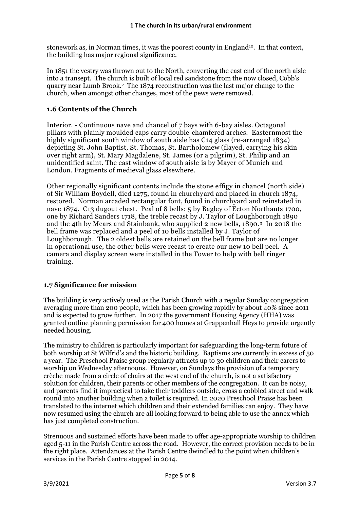stonework as, in Norman times, it was the poorest county in England<sup>10</sup>. In that context, the building has major regional significance.

In 1851 the vestry was thrown out to the North, converting the east end of the north aisle into a transept. The church is built of local red sandstone from the now closed, Cobb's quarry near Lumb Brook.<sup>2</sup> The 1874 reconstruction was the last major change to the church, when amongst other changes, most of the pews were removed.

#### **1.6 Contents of the Church**

Interior. - Continuous nave and chancel of 7 bays with 6-bay aisles. Octagonal pillars with plainly moulded caps carry double-chamfered arches. Easternmost the highly significant south window of south aisle has C<sub>14</sub> glass (re-arranged 1834) depicting St. John Baptist, St. Thomas, St. Bartholomew (flayed, carrying his skin over right arm), St. Mary Magdalene, St. James (or a pilgrim), St. Philip and an unidentified saint. The east window of south aisle is by Mayer of Munich and London. Fragments of medieval glass elsewhere.

Other regionally significant contents include the stone effigy in chancel (north side) of Sir William Boydell, died 1275, found in churchyard and placed in church 1874, restored. Norman arcaded rectangular font, found in churchyard and reinstated in nave 1874. C13 dugout chest. Peal of 8 bells: 5 by Bagley of Ecton Northants 1700, one by Richard Sanders 1718, the treble recast by J. Taylor of Loughborough 1890 and the 4th by Mears and Stainbank, who supplied 2 new bells, 1890.3. In 2018 the bell frame was replaced and a peel of 10 bells installed by J. Taylor of Loughborough. The 2 oldest bells are retained on the bell frame but are no longer in operational use, the other bells were recast to create our new 10 bell peel. A camera and display screen were installed in the Tower to help with bell ringer training.

#### **1.7 Significance for mission**

The building is very actively used as the Parish Church with a regular Sunday congregation averaging more than 200 people, which has been growing rapidly by about 40% since 2011 and is expected to grow further. In 2017 the government Housing Agency (HHA) was granted outline planning permission for 400 homes at Grappenhall Heys to provide urgently needed housing.

The ministry to children is particularly important for safeguarding the long-term future of both worship at St Wilfrid's and the historic building. Baptisms are currently in excess of 50 a year. The Preschool Praise group regularly attracts up to 30 children and their carers to worship on Wednesday afternoons. However, on Sundays the provision of a temporary crèche made from a circle of chairs at the west end of the church, is not a satisfactory solution for children, their parents or other members of the congregation. It can be noisy, and parents find it impractical to take their toddlers outside, cross a cobbled street and walk round into another building when a toilet is required. In 2020 Preschool Praise has been translated to the internet which children and their extended families can enjoy. They have now resumed using the church are all looking forward to being able to use the annex which has just completed construction.

Strenuous and sustained efforts have been made to offer age-appropriate worship to children aged 5-11 in the Parish Centre across the road. However, the correct provision needs to be in the right place. Attendances at the Parish Centre dwindled to the point when children's services in the Parish Centre stopped in 2014.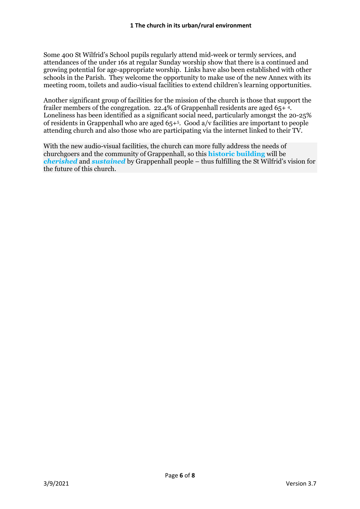Some 400 St Wilfrid's School pupils regularly attend mid-week or termly services, and attendances of the under 16s at regular Sunday worship show that there is a continued and growing potential for age-appropriate worship. Links have also been established with other schools in the Parish. They welcome the opportunity to make use of the new Annex with its meeting room, toilets and audio-visual facilities to extend children's learning opportunities.

Another significant group of facilities for the mission of the church is those that support the frailer members of the congregation. 22.4% of Grappenhall residents are aged 65+4. Loneliness has been identified as a significant social need, particularly amongst the 20-25% of residents in Grappenhall who are aged 65+<sup>5</sup> . Good a/v facilities are important to people attending church and also those who are participating via the internet linked to their TV.

With the new audio-visual facilities, the church can more fully address the needs of churchgoers and the community of Grappenhall, so this **historic building** will be *cherished* and *sustained* by Grappenhall people – thus fulfilling the St Wilfrid's vision for the future of this church.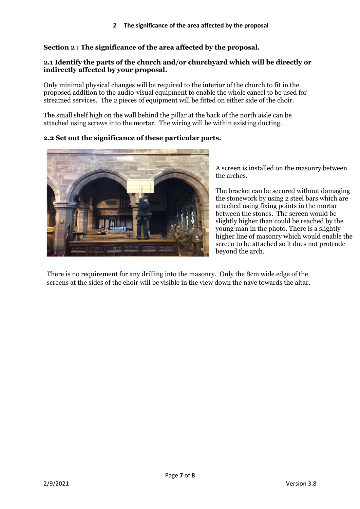# **Section 2 : The significance of the area affected by the proposal.**

#### **2.1 Identify the parts of the church and/or churchyard which will be directly or indirectly affected by your proposal.**

Only minimal physical changes will be required to the interior of the church to fit in the proposed addition to the audio-visual equipment to enable the whole cancel to be used for streamed services. The 2 pieces of equipment will be fitted on either side of the choir.

The small shelf high on the wall behind the pillar at the back of the north aisle can be attached using screws into the mortar. The wiring will be within existing ducting.

# **2.2 Set out the significance of these particular parts.**



A screen is installed on the masonry between the arches.

The bracket can be secured without damaging the stonework by using 2 steel bars which are attached using fixing points in the mortar between the stones. The screen would be slightly higher than could be reached by the young man in the photo. There is a slightly higher line of masonry which would enable the screen to be attached so it does not protrude beyond the arch.

There is no requirement for any drilling into the masonry. Only the 8cm wide edge of the screens at the sides of the choir will be visible in the view down the nave towards the altar.